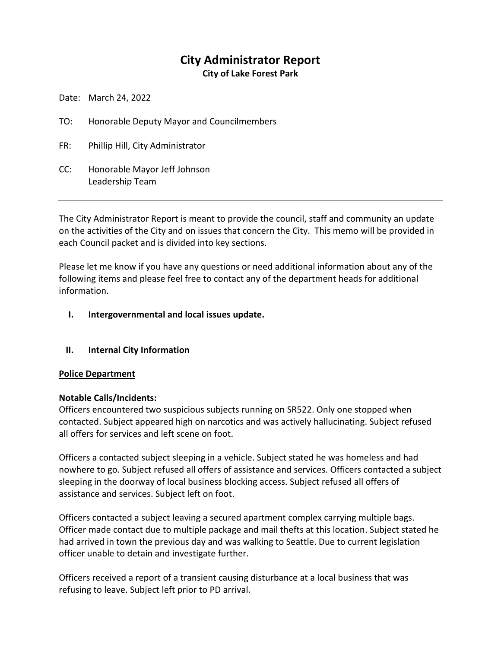# **City Administrator Report**

**City of Lake Forest Park**

Date: March 24, 2022

- TO: Honorable Deputy Mayor and Councilmembers
- FR: Phillip Hill, City Administrator
- CC: Honorable Mayor Jeff Johnson Leadership Team

The City Administrator Report is meant to provide the council, staff and community an update on the activities of the City and on issues that concern the City. This memo will be provided in each Council packet and is divided into key sections.

Please let me know if you have any questions or need additional information about any of the following items and please feel free to contact any of the department heads for additional information.

# **I. Intergovernmental and local issues update.**

# **II. Internal City Information**

# **Police Department**

# **Notable Calls/Incidents:**

Officers encountered two suspicious subjects running on SR522. Only one stopped when contacted. Subject appeared high on narcotics and was actively hallucinating. Subject refused all offers for services and left scene on foot.

Officers a contacted subject sleeping in a vehicle. Subject stated he was homeless and had nowhere to go. Subject refused all offers of assistance and services. Officers contacted a subject sleeping in the doorway of local business blocking access. Subject refused all offers of assistance and services. Subject left on foot.

Officers contacted a subject leaving a secured apartment complex carrying multiple bags. Officer made contact due to multiple package and mail thefts at this location. Subject stated he had arrived in town the previous day and was walking to Seattle. Due to current legislation officer unable to detain and investigate further.

Officers received a report of a transient causing disturbance at a local business that was refusing to leave. Subject left prior to PD arrival.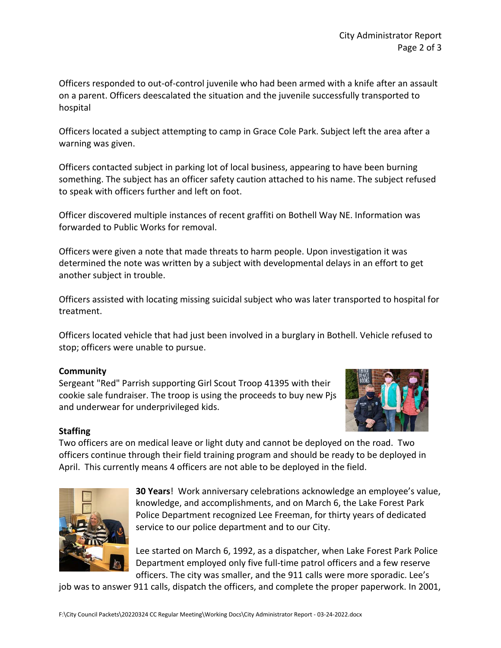Officers responded to out-of-control juvenile who had been armed with a knife after an assault on a parent. Officers deescalated the situation and the juvenile successfully transported to hospital

Officers located a subject attempting to camp in Grace Cole Park. Subject left the area after a warning was given.

Officers contacted subject in parking lot of local business, appearing to have been burning something. The subject has an officer safety caution attached to his name. The subject refused to speak with officers further and left on foot.

Officer discovered multiple instances of recent graffiti on Bothell Way NE. Information was forwarded to Public Works for removal.

Officers were given a note that made threats to harm people. Upon investigation it was determined the note was written by a subject with developmental delays in an effort to get another subject in trouble.

Officers assisted with locating missing suicidal subject who was later transported to hospital for treatment.

Officers located vehicle that had just been involved in a burglary in Bothell. Vehicle refused to stop; officers were unable to pursue.

# **Community**

Sergeant "Red" Parrish supporting Girl Scout Troop 41395 with their cookie sale fundraiser. The troop is using the proceeds to buy new Pjs and underwear for underprivileged kids.



# **Staffing**

Two officers are on medical leave or light duty and cannot be deployed on the road. Two officers continue through their field training program and should be ready to be deployed in April. This currently means 4 officers are not able to be deployed in the field.



**30 Years**! Work anniversary celebrations acknowledge an employee's value, knowledge, and accomplishments, and on March 6, the Lake Forest Park Police Department recognized Lee Freeman, for thirty years of dedicated service to our police department and to our City.

Lee started on March 6, 1992, as a dispatcher, when Lake Forest Park Police Department employed only five full-time patrol officers and a few reserve officers. The city was smaller, and the 911 calls were more sporadic. Lee's

job was to answer 911 calls, dispatch the officers, and complete the proper paperwork. In 2001,